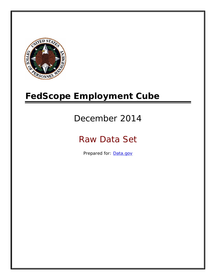

# **FedScope Employment Cube**

# December 2014

# Raw Data Set

Prepared for: [Data.gov](http://www.data.gov/)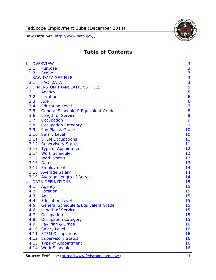FedScope Employment Cube (December 2014)

**Raw Data Set** (http://www.data.gov/)



# **Table of Contents**

| $\mathbf{1}$ | <b>OVERVIEW</b>                                | 3              |
|--------------|------------------------------------------------|----------------|
| 1.1          | Purpose                                        | 3              |
| 1.2          | <b>Scope</b>                                   | 3              |
| 2            | <b>RAW DATA SET FILE</b>                       | 3              |
| 2.1          | <b>FACTDATA</b>                                | 3              |
| 3            | <b>DIMENSION TRANSLATIONS FILES</b>            | 5              |
| 3.1          | Agency                                         | 5              |
| 3.2          | Location                                       | 6              |
| 3.3          | Age                                            | 6              |
| 3.4          | <b>Education Level</b>                         | $\overline{7}$ |
| 3.5          | <b>General Schedule &amp; Equivalent Grade</b> | 8              |
| 3.6          | <b>Length of Service</b>                       | 8              |
| 3.7          | Occupation                                     | 9              |
| 3.8          | <b>Occupation Category</b>                     | 9              |
| 3.9          | Pay Plan & Grade                               | 10             |
| 3.10         | <b>Salary Level</b>                            | 10             |
|              | 3.11 STEM Occupations                          | 11             |
|              | 3.12 Supervisory Status                        | 11             |
|              | 3.13 Type of Appointment                       | 12             |
|              | 3.14 Work Schedule                             | 12             |
| 3.15         | <b>Work Status</b>                             | 13             |
|              | 3.16 Date                                      | 13             |
|              | 3.17 Employment                                | 14             |
|              | 3.18 Average Salary                            | 14             |
|              | 3.19 Average Length of Service                 | 14             |
| 4            | <b>DATA DEFINITIONS</b>                        | 15             |
| 4.1          | Agency                                         | 15             |
| 4.2          | Location                                       | 15             |
| 4.3          | Age                                            | 15             |
| 4.4          | <b>Education Level</b>                         | 15             |
| 4.5          | <b>General Schedule &amp; Equivalent Grade</b> | 15             |
| 4.6          | <b>Length of Service</b>                       | 15             |
| 4.7          | Occupation                                     | 15             |
| 4.8          | <b>Occupation Category</b>                     | 15             |
| 4.9          | Pay Plan & Grade                               | 16             |
| 4.10         | <b>Salary Level</b>                            | 16             |
| 4.11         | <b>STEM Occupations</b>                        | 16             |
| 4.12         | <b>Supervisory Status</b>                      | 16             |
| 4.13         | <b>Type of Appointment</b>                     | 16             |
| 4.14         | <b>Work Schedule</b>                           | 16             |

Source: FedScope (https://www.fedscope.opm.gov/) 1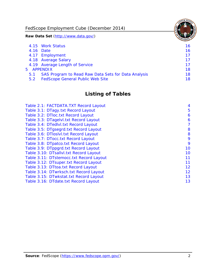FedScope Employment Cube (December 2014)

**Raw Data Set** (http://www.data.gov/)

|               | 4.15 Work Status                                    | 16 |
|---------------|-----------------------------------------------------|----|
|               | 4.16 Date                                           | 16 |
|               | 4.17 Employment                                     | 17 |
|               | 4.18 Average Salary                                 | 17 |
|               | 4.19 Average Length of Service                      | 17 |
|               | 5 APPENDIX                                          | 18 |
| 5.1           | SAS Program to Read Raw Data Sets for Data Analysis | 18 |
| $5.2^{\circ}$ | <b>FedScope General Public Web Site</b>             | 18 |

# **Listing of Tables**

| Table 2.1: FACTDATA.TXT Record Layout   | 4  |
|-----------------------------------------|----|
| Table 3.1: DTagy.txt Record Layout      | 5  |
| Table 3.2: DTloc.txt Record Layout      | 6  |
| Table 3.3: DTagelvl.txt Record Layout   | 6  |
| Table 3.4: DTedlvl.txt Record Layout    | 7  |
| Table 3.5: DTgsegrd.txt Record Layout   | 8  |
| Table 3.6: DTIoslyl.txt Record Layout   | 8  |
| Table 3.7: DTocc.txt Record Layout      | 9  |
| Table 3.8: DTpatco.txt Record Layout    | 9  |
| Table 3.9: DTppgrd.txt Record Layout    | 10 |
| Table 3.10: DTsallvl.txt Record Layout  | 10 |
| Table 3.11: DTstemocc.txt Record Layout | 11 |
| Table 3.12: DTsuper.txt Record Layout   | 11 |
| Table 3.13: DTtoa.txt Record Layout     | 12 |
| Table 3.14: DTwrksch.txt Record Layout  | 12 |
| Table 3.15: DTwkstat.txt Record Layout  | 13 |
| Table 3.16: DTdate.txt Record Layout    | 13 |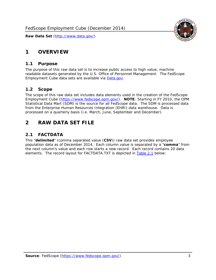# <span id="page-3-0"></span>**1 OVERVIEW**

#### *1.1 Purpose*

<span id="page-3-1"></span>The purpose of this raw data set is to increase public access to high value, machine readable datasets generated by the U.S. Office of Personnel Management. The FedScope Employment Cube data sets are available via [Data.gov](http://www.data.gov/).

## <span id="page-3-2"></span>*1.2 Scope*

The scope of this raw data set includes data elements used in the creation of the FedScope Employment Cube [\(https://www.fedscope.opm.gov/\)](https://www.fedscope.opm.gov/). **NOTE**: Starting in FY 2010, the OPM Statistical Data Mart (SDM) is the source for all FedScope data. The SDM is processed data from the Enterprise Human Resources Integration (EHRI) data warehouse. Data is processed on a quarterly basis (i.e. March, June, September and December).

# <span id="page-3-3"></span>**2 RAW DATA SET FILE**

# <span id="page-3-4"></span>*2.1 FACTDATA*

This "**delimited**" (comma separated value (**CSV**)) raw data set provides employee population data as of December 2014. Each column value is separated by a "**comma**" from the next column's value and each row starts a new record. Each record contains 20 data elements. The record layout for FACTDATA.TXT is depicted in [Table 2.1](#page-4-1) below:

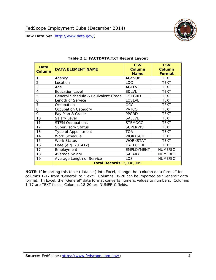

<span id="page-4-1"></span><span id="page-4-0"></span>

| Data           | <b>DATA ELEMENT NAME</b>            | <b>CSV</b><br><b>Column</b> | <b>CSV</b><br><b>Column</b> |
|----------------|-------------------------------------|-----------------------------|-----------------------------|
| <b>Column</b>  |                                     | <b>Name</b>                 | <b>Format</b>               |
| 1              | Agency                              | <b>AGYSUB</b>               | <b>TEXT</b>                 |
| $\overline{2}$ | Location                            | <b>LOC</b>                  | <b>TEXT</b>                 |
| 3              | Age                                 | <b>AGELVL</b>               | <b>TEXT</b>                 |
| 4              | <b>Education Level</b>              | <b>EDLVL</b>                | <b>TEXT</b>                 |
| 5              | General Schedule & Equivalent Grade | <b>GSEGRD</b>               | <b>TEXT</b>                 |
| 6              | Length of Service                   | <b>LOSLVL</b>               | <b>TEXT</b>                 |
| 7              | Occupation                          | <b>OCC</b>                  | <b>TEXT</b>                 |
| 8              | Occupation Category                 | <b>PATCO</b>                | <b>TEXT</b>                 |
| 9              | Pay Plan & Grade                    | <b>PPGRD</b>                | <b>TEXT</b>                 |
| 10             | Salary Level                        | <b>SALLVL</b>               | TEXT                        |
| 11             | <b>STEM Occupations</b>             | <b>STEMOCC</b>              | <b>TEXT</b>                 |
| 12             | <b>Supervisory Status</b>           | <b>SUPERVIS</b>             | <b>TEXT</b>                 |
| 13             | Type of Appointment                 | <b>TOA</b>                  | TEXT                        |
| 14             | Work Schedule                       | <b>WORKSCH</b>              | <b>TEXT</b>                 |
| 15             | Work Status                         | <b>WORKSTAT</b>             | TEXT                        |
| 16             | Date (e.g. 201412)                  | <b>DATECODE</b>             | <b>TEXT</b>                 |
| 17             | Employment                          | <b>EMPLOYMENT</b>           | <b>NUMERIC</b>              |
| 18             | Average Salary                      | <b>SALARY</b>               | <b>NUMERIC</b>              |
| 19             | Average Length of Service           | LOS                         | <b>NUMERIC</b>              |
|                | <b>Total Records: 2,038,005</b>     |                             |                             |

#### **Table 2.1: FACTDATA.TXT Record Layout**

**NOTE**: If importing this table (data set) into Excel, change the "column data format" for columns 1-17 from "General" to "Text". Columns 18-20 can be imported as "General" data format. In Excel, the "General" data format converts numeric values to numbers. Columns 1-17 are TEXT fields; Columns 18-20 are NUMERIC fields.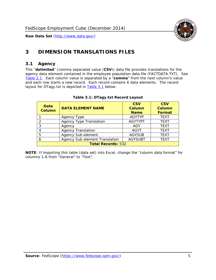

# <span id="page-5-0"></span>**3 DIMENSION TRANSLATIONS FILES**

#### <span id="page-5-1"></span>*3.1 Agency*

<span id="page-5-3"></span><span id="page-5-2"></span>This "**delimited**" (comma separated value (**CSV**)) data file provides translations for the agency data element contained in the employee population data file (FACTDATA.TXT). See [Table 2.1.](#page-4-1) Each column value is separated by a "**comma**" from the next column's value and each row starts a new record. Each record contains 6 data elements. The record layout for DTagy.txt is depicted in [Table 3.1](#page-5-3) below:

| Data<br><b>Column</b>     | <b>DATA ELEMENT NAME</b>       | <b>CSV</b><br><b>Column</b><br><b>Name</b> | <b>CSV</b><br>Column<br><b>Format</b> |
|---------------------------|--------------------------------|--------------------------------------------|---------------------------------------|
|                           | Agency Type                    | <b>AGYTYP</b>                              | <b>TEXT</b>                           |
| 2                         | <b>Agency Type Translation</b> | <b>AGYTYPT</b>                             | <b>TEXT</b>                           |
| 3                         | Agency                         | AGY                                        | <b>TEXT</b>                           |
|                           | <b>Agency Translation</b>      | <b>AGYT</b>                                | <b>TEXT</b>                           |
| -5                        | Agency Sub element             | <b>AGYSUB</b>                              | <b>TEXT</b>                           |
|                           | Agency Sub element Translation | <b>AGYSUBT</b>                             | <b>TEXT</b>                           |
| <b>Total Records: 532</b> |                                |                                            |                                       |

#### **Table 3.1: DTagy.txt Record Layout**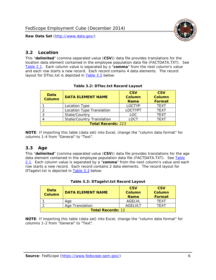

#### <span id="page-6-0"></span>*3.2 Location*

<span id="page-6-4"></span><span id="page-6-2"></span>This "**delimited**" (comma separated value (**CSV**)) data file provides translations for the location data element contained in the employee population data file (FACTDATA.TXT). See [Table 2.1.](#page-4-1) Each column value is separated by a "**comma**" from the next column's value and each row starts a new record. Each record contains 4 data elements. The record layout for DTloc.txt is depicted in [Table 3.2](#page-6-4) below:

| Data<br><b>Column</b>     | <b>DATA ELEMENT NAME</b>         | <b>CSV</b><br>Column<br><b>Name</b> | <b>CSV</b><br><b>Column</b><br><b>Format</b> |
|---------------------------|----------------------------------|-------------------------------------|----------------------------------------------|
|                           | Location Type                    | <b>LOCTYP</b>                       | <b>TEXT</b>                                  |
|                           | Location Type Translation        | <b>LOCTYPT</b>                      | <b>TEXT</b>                                  |
| ົ                         | State/Country                    | <b>LOC</b>                          | <b>TFXT</b>                                  |
|                           | <b>State/Country Translation</b> | LOCT                                | <b>TFXT</b>                                  |
| <b>Total Records: 223</b> |                                  |                                     |                                              |

#### **Table 3.2: DTloc.txt Record Layout**

**NOTE**: If importing this table (data set) into Excel, change the "column data format" for columns 1-4 from "General" to "Text".

#### <span id="page-6-1"></span>*3.3 Age*

<span id="page-6-5"></span><span id="page-6-3"></span>This "**delimited**" (comma separated value (**CSV**)) data file provides translations for the age data element contained in the employee population data file (FACTDATA.TXT). See [Table](#page-4-1) [2.1](#page-4-1). Each column value is separated by a "**comma**" from the next column's value and each row starts a new record. Each record contains 2 data elements. The record layout for DTagelvl.txt is depicted in **[Table 3.3](#page-6-5)** below:

| Data<br>Column           | <b>DATA ELEMENT NAME</b> | <b>CSV</b><br>Column<br><b>Name</b> | <b>CSV</b><br>Column<br>Format |
|--------------------------|--------------------------|-------------------------------------|--------------------------------|
|                          | Aae                      | AGFI VI                             | TFXT                           |
|                          | Age Translation          | AGFI VI T                           | TFXT                           |
| <b>Total Records: 12</b> |                          |                                     |                                |

#### **Table 3.3: DTagelvl.txt Record Layout**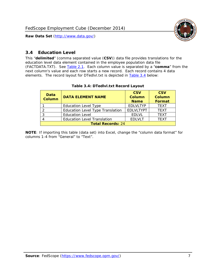

### <span id="page-7-0"></span>*3.4 Education Level*

<span id="page-7-2"></span><span id="page-7-1"></span>This "**delimited**" (comma separated value (**CSV**)) data file provides translations for the education level data element contained in the employee population data file (FACTDATA.TXT). See [Table 2.1](#page-4-1). Each column value is separated by a "**comma**" from the next column's value and each row starts a new record. Each record contains 4 data elements. The record layout for DTedlvl.txt is depicted in [Table 3.4](#page-7-2) below:

| Data<br><b>Column</b>    | <b>DATA ELEMENT NAME</b>                | <b>CSV</b><br><b>Column</b><br><b>Name</b> | <b>CSV</b><br><b>Column</b><br><b>Format</b> |
|--------------------------|-----------------------------------------|--------------------------------------------|----------------------------------------------|
|                          | <b>Education Level Type</b>             | <b>EDLVLTYP</b>                            | <b>TEXT</b>                                  |
|                          | <b>Education Level Type Translation</b> | <b>EDLVLTYPT</b>                           | <b>TEXT</b>                                  |
|                          | <b>Education Level</b>                  | <b>EDLVL</b>                               | <b>TEXT</b>                                  |
|                          | <b>Education Level Translation</b>      | <b>EDLVLT</b>                              | <b>TEXT</b>                                  |
| <b>Total Records: 24</b> |                                         |                                            |                                              |

#### **Table 3.4: DTedlvl.txt Record Layout**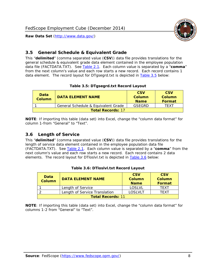



#### <span id="page-8-0"></span>*3.5 General Schedule & Equivalent Grade*

This "**delimited**" (comma separated value (**CSV**)) data file provides translations for the general schedule & equivalent grade data element contained in the employee population data file (FACTDATA.TXT). See [Table 2.1](#page-4-1). Each column value is separated by a "**comma**" from the next column's value and each row starts a new record. Each record contains 1 data element. The record layout for DTgsegrd.txt is depicted in [Table 3.5](#page-8-4) below:

#### **Table 3.5: DTgsegrd.txt Record Layout**

<span id="page-8-4"></span><span id="page-8-2"></span>

| Data<br>Column           | DATA FI FMFNT NAMF                  | <b>CSV</b><br>Column<br><b>Name</b> | <b>CSV</b><br>Column<br><b>Format</b> |
|--------------------------|-------------------------------------|-------------------------------------|---------------------------------------|
|                          | General Schedule & Equivalent Grade | GSFGRD                              | TFXT                                  |
| <b>Total Records: 17</b> |                                     |                                     |                                       |

**NOTE**: If importing this table (data set) into Excel, change the "column data format" for column 1-from "General" to "Text".

#### <span id="page-8-1"></span>*3.6 Length of Service*

<span id="page-8-5"></span>This "**delimited**" (comma separated value (**CSV**)) data file provides translations for the length of service data element contained in the employee population data file (FACTDATA.TXT). See [Table 2.1](#page-4-1). Each column value is separated by a "**comma**" from the next column's value and each row starts a new record. Each record contains 2 data elements. The record layout for DTloslvl.txt is depicted in [Table 3.6](#page-8-5) below:

<span id="page-8-3"></span>

| <b>Data</b><br>Column    | <b>DATA FI FMFNT NAMF</b>     | <b>CSV</b><br>Column<br><b>Name</b> | <b>CSV</b><br>Column<br>Format |
|--------------------------|-------------------------------|-------------------------------------|--------------------------------|
|                          | Length of Service             | LOSLVL                              | TFXT                           |
|                          | Length of Service Translation | LOSI VLT                            | TFXT                           |
| <b>Total Records: 11</b> |                               |                                     |                                |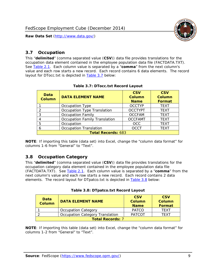

#### <span id="page-9-0"></span>*3.7 Occupation*

<span id="page-9-4"></span>This "**delimited**" (comma separated value (**CSV**)) data file provides translations for the occupation data element contained in the employee population data file (FACTDATA.TXT). See [Table 2.1](#page-4-1). Each column value is separated by a "**comma**" from the next column's value and each row starts a new record. Each record contains 6 data elements. The record layout for DTocc.txt is depicted in [Table 3.7](#page-9-4) below:

<span id="page-9-2"></span>

| Data<br><b>Column</b>     | <b>DATA ELEMENT NAME</b>             | <b>CSV</b><br>Column<br><b>Name</b> | <b>CSV</b><br><b>Column</b><br><b>Format</b> |
|---------------------------|--------------------------------------|-------------------------------------|----------------------------------------------|
|                           | Occupation Type                      | <b>OCCTYP</b>                       | <b>TEXT</b>                                  |
|                           | Occupation Type Translation          | <b>OCCTYPT</b>                      | <b>TEXT</b>                                  |
| ာ                         | <b>Occupation Family</b>             | <b>OCCFAM</b>                       | <b>TEXT</b>                                  |
|                           | <b>Occupation Family Translation</b> | <b>OCCFAMT</b>                      | <b>TEXT</b>                                  |
| 5                         | Occupation                           | <b>OCC</b>                          | <b>TEXT</b>                                  |
|                           | <b>Occupation Translation</b>        | <b>OCCT</b>                         | <b>TEXT</b>                                  |
| <b>Total Records: 683</b> |                                      |                                     |                                              |

#### **Table 3.7: DTocc.txt Record Layout**

**NOTE**: If importing this table (data set) into Excel, change the "column data format" for columns 1-6 from "General" to "Text".

#### <span id="page-9-1"></span>*3.8 Occupation Category*

<span id="page-9-5"></span>This "**delimited**" (comma separated value (**CSV**)) data file provides translations for the occupation category data element contained in the employee population data file (FACTDATA.TXT). See [Table 2.1](#page-4-1). Each column value is separated by a "**comma**" from the next column's value and each row starts a new record. Each record contains 2 data elements. The record layout for DTpatco.txt is depicted in [Table 3.8](#page-9-5) below:

<span id="page-9-3"></span>

| Data<br><b>Column</b>   | <b>DATA ELEMENT NAME</b>        | <b>CSV</b><br>Column<br><b>Name</b> | <b>CSV</b><br>Column<br>Format |  |
|-------------------------|---------------------------------|-------------------------------------|--------------------------------|--|
|                         | <b>Occupation Category</b>      | <b>PATCO</b>                        | <b>TFXT</b>                    |  |
|                         | Occupation Category Translation | <b>PATCOT</b>                       | TFXT                           |  |
| <b>Total Records: 7</b> |                                 |                                     |                                |  |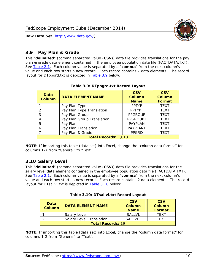

### <span id="page-10-0"></span>*3.9 Pay Plan & Grade*

<span id="page-10-4"></span>This "**delimited**" (comma separated value (**CSV**)) data file provides translations for the pay plan & grade data element contained in the employee population data file (FACTDATA.TXT). See [Table 2.1](#page-4-1). Each column value is separated by a "**comma**" from the next column's value and each row starts a new record. Each record contains 7 data elements. The record layout for DTppgrd.txt is depicted in **Table 3.9** below:

<span id="page-10-2"></span>

| Data<br><b>Column</b>       | <b>DATA ELEMENT NAME</b>   | <b>CSV</b><br>Column<br><b>Name</b> | <b>CSV</b><br>Column<br><b>Format</b> |  |  |
|-----------------------------|----------------------------|-------------------------------------|---------------------------------------|--|--|
|                             | Pay Plan Type              | <b>PPTYP</b>                        | <b>TEXT</b>                           |  |  |
| $\mathcal{P}$               | Pay Plan Type Translation  | <b>PPTYPT</b>                       | <b>TEXT</b>                           |  |  |
| 3                           | Pay Plan Group             | <b>PPGROUP</b>                      | <b>TEXT</b>                           |  |  |
|                             | Pay Plan Group Translation | <b>PPGROUPT</b>                     | <b>TEXT</b>                           |  |  |
| 5                           | Pay Plan                   | <b>PAYPLAN</b>                      | <b>TEXT</b>                           |  |  |
| 6                           | Pay Plan Translation       | <b>PAYPLANT</b>                     | <b>TEXT</b>                           |  |  |
|                             | Pay Plan & Grade           | <b>PPGRD</b>                        | <b>TEXT</b>                           |  |  |
| <b>Total Records: 1,013</b> |                            |                                     |                                       |  |  |

#### **Table 3.9: DTppgrd.txt Record Layout**

**NOTE**: If importing this table (data set) into Excel, change the "column data format" for columns 1-7 from "General" to "Text".

## <span id="page-10-1"></span>*3.10 Salary Level*

<span id="page-10-5"></span><span id="page-10-3"></span>This "**delimited**" (comma separated value (**CSV**)) data file provides translations for the salary level data element contained in the employee population data file (FACTDATA.TXT). See [Table 2.1](#page-4-1). Each column value is separated by a "**comma**" from the next column's value and each row starts a new record. Each record contains 2 data elements. The record layout for DTsallvl.txt is depicted in [Table 3.10](#page-10-5) below:

| <b>Data</b><br>Column    | <b>DATA ELEMENT NAME</b>        | <b>CSV</b><br>Column<br><b>Name</b> | <b>CSV</b><br>Column<br><b>Format</b> |
|--------------------------|---------------------------------|-------------------------------------|---------------------------------------|
|                          | Salary Level                    | <b>SALLVL</b>                       | TFXT                                  |
|                          | <b>Salary Level Translation</b> | SAI I VI T                          | TEXT                                  |
| <b>Total Records: 19</b> |                                 |                                     |                                       |

| Table 3.10: DTsallvl.txt Record Layout |  |
|----------------------------------------|--|
|----------------------------------------|--|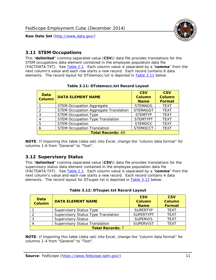

#### <span id="page-11-0"></span>*3.11 STEM Occupations*

<span id="page-11-4"></span>This "**delimited**" (comma separated value (**CSV**)) data file provides translations for the STEM occupations data element contained in the employee population data file (FACTDATA.TXT). See [Table 2.1](#page-4-1). Each column value is separated by a "**comma**" from the next column's value and each row starts a new record. Each record contains 6 data elements. The record layout for DTstemocc.txt is depicted in [Table 3.11](#page-11-4) below:

<span id="page-11-2"></span>

| <b>Data</b><br><b>Column</b> | <b>DATA ELEMENT NAME</b>                     | <b>CSV</b><br><b>Column</b><br><b>Name</b> | <b>CSV</b><br><b>Column</b><br>Format |  |  |
|------------------------------|----------------------------------------------|--------------------------------------------|---------------------------------------|--|--|
|                              | <b>STEM Occupation Aggregate</b>             | <b>STEMAGG</b>                             | <b>TEXT</b>                           |  |  |
|                              | <b>STEM Occupation Aggregate Translation</b> | <b>STEMAGGT</b>                            | <b>TEXT</b>                           |  |  |
| 3                            | <b>STEM Occupation Type</b>                  | <b>STEMTYP</b>                             | <b>TFXT</b>                           |  |  |
|                              | <b>STEM Occupation Type Translation</b>      | <b>STEMTYPT</b>                            | <b>TEXT</b>                           |  |  |
| 5                            | <b>STEM Occupation</b>                       | <b>STEMOCC</b>                             | <b>TEXT</b>                           |  |  |
|                              | <b>STEM Occupation Translation</b>           | <b>STEMOCCT</b>                            | <b>TEXT</b>                           |  |  |
| <b>Total Records: 69</b>     |                                              |                                            |                                       |  |  |

#### **Table 3.11: DTstemocc.txt Record Layout**

**NOTE**: If importing this table (data set) into Excel, change the "column data format" for columns 1-6 from "General" to "Text".

# <span id="page-11-1"></span>*3.12 Supervisory Status*

This "**delimited**" (comma separated value (**CSV**)) data file provides translations for the supervisory status data element contained in the employee population data file (FACTDATA.TXT). See [Table 2.1](#page-4-1). Each column value is separated by a "**comma**" from the next column's value and each row starts a new record. Each record contains 4 data elements. The record layout for DTsuper.txt is depicted in [Table 3.12](#page-11-5) below:

<span id="page-11-5"></span><span id="page-11-3"></span>

| Data<br><b>Column</b>   | <b>DATA ELEMENT NAME</b>              | <b>CSV</b><br><b>Column</b><br><b>Name</b> | <b>CSV</b><br><b>Column</b><br><b>Format</b> |  |  |
|-------------------------|---------------------------------------|--------------------------------------------|----------------------------------------------|--|--|
|                         | <b>Supervisory Status Type</b>        | <b>SUPFRTYP</b>                            | <b>TEXT</b>                                  |  |  |
|                         | Supervisory Status Type Translation   | <b>SUPERTYPT</b>                           | <b>TEXT</b>                                  |  |  |
|                         | <b>Supervisory Status</b>             | <b>SUPERVIS</b>                            | <b>TEXT</b>                                  |  |  |
|                         | <b>Supervisory Status Translation</b> | <b>SUPERVIST</b>                           | <b>TEXT</b>                                  |  |  |
| <b>Total Records: 7</b> |                                       |                                            |                                              |  |  |

|  | Table 3.12: DTsuper.txt Record Layout |  |
|--|---------------------------------------|--|
|--|---------------------------------------|--|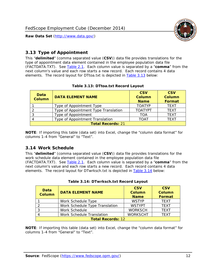

### <span id="page-12-0"></span>*3.13 Type of Appointment*

This "**delimited**" (comma separated value (**CSV**)) data file provides translations for the type of appointment data element contained in the employee population data file (FACTDATA.TXT). See [Table 2.1](#page-4-1). Each column value is separated by a "**comma**" from the next column's value and each row starts a new record. Each record contains 4 data elements. The record layout for DTtoa.txt is depicted in [Table 3.13](#page-12-4) below:

<span id="page-12-4"></span><span id="page-12-2"></span>

| Data<br><b>Column</b> | <b>DATA ELEMENT NAME</b>             | <b>CSV</b><br><b>Column</b><br><b>Name</b> | <b>CSV</b><br><b>Column</b><br>Format |
|-----------------------|--------------------------------------|--------------------------------------------|---------------------------------------|
|                       | Type of Appointment Type             | <b>TOATYP</b>                              | <b>TEXT</b>                           |
|                       | Type of Appointment Type Translation | <b>TOATYPT</b>                             | <b>TEXT</b>                           |
|                       | Type of Appointment                  | TOA                                        | <b>TEXT</b>                           |
|                       | Type of Appointment Translation      | TOAT                                       | <b>TFXT</b>                           |
|                       | <b>Total Records: 21</b>             |                                            |                                       |

#### **Table 3.13: DTtoa.txt Record Layout**

**NOTE**: If importing this table (data set) into Excel, change the "column data format" for columns 1-4 from "General" to "Text".

#### <span id="page-12-1"></span>*3.14 Work Schedule*

<span id="page-12-5"></span>This "**delimited**" (comma separated value (**CSV**)) data file provides translations for the work schedule data element contained in the employee population data file (FACTDATA.TXT). See [Table 2.1](#page-4-1). Each column value is separated by a "**comma**" from the next column's value and each row starts a new record. Each record contains 4 data elements. The record layout for DTwrksch.txt is depicted in [Table 3.14](#page-12-5) below:

<span id="page-12-3"></span>

| Data<br>Column           | <b>DATA ELEMENT NAME</b>       | <b>CSV</b><br><b>Column</b><br><b>Name</b> | <b>CSV</b><br>Column<br>Format |  |  |
|--------------------------|--------------------------------|--------------------------------------------|--------------------------------|--|--|
|                          | Work Schedule Type             | <b>WSTYP</b>                               | <b>TEXT</b>                    |  |  |
| 2                        | Work Schedule Type Translation | <b>WSTYPT</b>                              | <b>TFXT</b>                    |  |  |
| 3                        | Work Schedule                  | <b>WORKSCH</b>                             | <b>TFXT</b>                    |  |  |
|                          | Work Schedule Translation      | <b>WORKSCHT</b>                            | <b>TFXT</b>                    |  |  |
| <b>Total Records: 12</b> |                                |                                            |                                |  |  |

|  | Table 3.14: DTwrksch.txt Record Layout |  |  |
|--|----------------------------------------|--|--|
|  |                                        |  |  |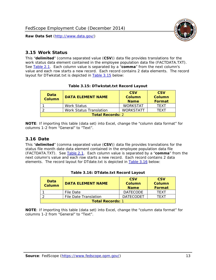

#### <span id="page-13-0"></span>*3.15 Work Status*

<span id="page-13-4"></span><span id="page-13-2"></span>This "**delimited**" (comma separated value (**CSV**)) data file provides translations for the work status data element contained in the employee population data file (FACTDATA.TXT). See [Table 2.1](#page-4-1). Each column value is separated by a "**comma**" from the next column's value and each row starts a new record. Each record contains 2 data elements. The record layout for DTwkstat.txt is depicted in [Table 3.15](#page-13-4) below:

| Data<br><b>Column</b>   | <b>DATA ELEMENT NAME</b>       | <b>CSV</b><br>Column<br><b>Name</b> | <b>CSV</b><br>Column<br><b>Format</b> |  |
|-------------------------|--------------------------------|-------------------------------------|---------------------------------------|--|
|                         | <b>Work Status</b>             | <b>WORKSTAT</b>                     | TFXT                                  |  |
|                         | <b>Work Status Translation</b> | <b>WORKSTATT</b>                    | TFXT                                  |  |
| <b>Total Records: 2</b> |                                |                                     |                                       |  |

#### **Table 3.15: DTwkstat.txt Record Layout**

**NOTE**: If importing this table (data set) into Excel, change the "column data format" for columns 1-2 from "General" to "Text".

#### <span id="page-13-1"></span>*3.16 Date*

<span id="page-13-5"></span><span id="page-13-3"></span>This "**delimited**" (comma separated value (**CSV**)) data file provides translations for the status file month date data element contained in the employee population data file (FACTDATA.TXT). See [Table 2.1](#page-4-1). Each column value is separated by a "**comma**" from the next column's value and each row starts a new record. Each record contains 2 data elements. The record layout for DTdate.txt is depicted in [Table 3.16](#page-13-5) below:

| Data<br><b>Column</b>   | <b>DATA ELEMENT NAME</b> | <b>CSV</b><br>Column<br><b>Name</b> | <b>CSV</b><br>Column<br><b>Format</b> |
|-------------------------|--------------------------|-------------------------------------|---------------------------------------|
|                         | File Date                | <b>DATECODE</b>                     | TFXT                                  |
|                         | File Date Translation    | <b>DATECODET</b>                    | TFXT                                  |
| <b>Total Records: 1</b> |                          |                                     |                                       |

**Table 3.16: DTdate.txt Record Layout**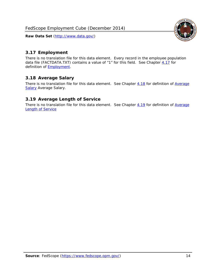

### <span id="page-14-0"></span>*3.17 Employment*

There is no translation file for this data element. Every record in the employee population data file (FACTDATA.TXT) contains a value of "1" for this field. See Chapter [4.17](#page-16-8) for definition of **Employment**.

#### <span id="page-14-1"></span>*3.18 Average Salary*

There is no translation file for this data element. See Chapter [4.18](#page-17-1) for definition of [Average](#page-17-1) **[Salary](#page-17-1) [Average Salary.](#page-17-1)** 

#### <span id="page-14-2"></span>*3.19 Average Length of Service*

There is no translation file for this data element. See Chapter [4.19](#page-17-2) for definition of [Average](#page-17-2) Length of Service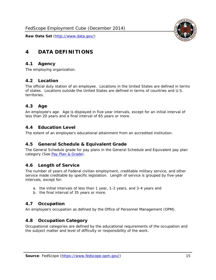

# <span id="page-15-0"></span>**4 DATA DEFINITIONS**

#### <span id="page-15-1"></span>*4.1 Agency*

The employing organization.

#### <span id="page-15-2"></span>*4.2 Location*

The official duty station of an employee. Locations in the United States are defined in terms of states. Locations outside the United States are defined in terms of countries and U.S. territories.

#### <span id="page-15-3"></span>*4.3 Age*

An employee's age. Age is displayed in five-year intervals, except for an initial interval of less than 20 years and a final interval of 65 years or more.

#### <span id="page-15-4"></span>*4.4 Education Level*

The extent of an employee's educational attainment from an accredited institution.

#### <span id="page-15-5"></span>*4.5 General Schedule & Equivalent Grade*

The General Schedule grade for pay plans in the General Schedule and Equivalent pay plan category (See [Pay Plan & Grade](#page-16-0)).

#### <span id="page-15-6"></span>*4.6 Length of Service*

The number of years of Federal civilian employment, creditable military service, and other service made creditable by specific legislation. Length of service is grouped by five-year intervals, except for:

- a. the initial intervals of less than 1 year, 1-2 years, and 3-4 years and
- b. the final interval of 35 years or more.

#### <span id="page-15-7"></span>*4.7 Occupation*

An employee's occupation as defined by the Office of Personnel Management (OPM).

#### <span id="page-15-8"></span>*4.8 Occupation Category*

Occupational categories are defined by the educational requirements of the occupation and the subject matter and level of difficulty or responsibility of the work.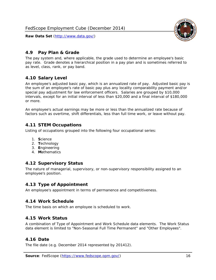

### <span id="page-16-0"></span>*4.9 Pay Plan & Grade*

The pay system and, where applicable, the grade used to determine an employee's basic pay rate. Grade denotes a hierarchical position in a pay plan and is sometimes referred to as level, class, rank, or pay band.

## <span id="page-16-1"></span>*4.10 Salary Level*

An employee's adjusted basic pay, which is an annualized rate of pay. Adjusted basic pay is the sum of an employee's rate of basic pay plus any locality comparability payment and/or special pay adjustment for law enforcement officers. Salaries are grouped by \$10,000 intervals, except for an initial interval of less than \$20,000 and a final interval of \$180,000 or more.

An employee's actual earnings may be more or less than the annualized rate because of factors such as overtime, shift differentials, less than full time work, or leave without pay.

#### <span id="page-16-2"></span>*4.11 STEM Occupations*

Listing of occupations grouped into the following four occupational series:

- 1. **S**cience
- 2. **T**echnology
- 3. **E**ngineering
- 4. **M**athematics

#### <span id="page-16-3"></span>*4.12 Supervisory Status*

The nature of managerial, supervisory, or non-supervisory responsibility assigned to an employee's position.

#### <span id="page-16-4"></span>*4.13 Type of Appointment*

An employee's appointment in terms of permanence and competitiveness.

#### <span id="page-16-5"></span>*4.14 Work Schedule*

The time basis on which an employee is scheduled to work.

#### <span id="page-16-6"></span>*4.15 Work Status*

A combination of Type of Appointment and Work Schedule data elements. The Work Status data element is limited to "Non-Seasonal Full Time Permanent" and "Other Employees".

#### <span id="page-16-7"></span>*4.16 Date*

<span id="page-16-8"></span>The file date (e.g. December 2014 represented by 201412).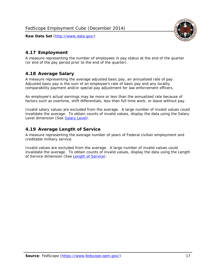

# <span id="page-17-0"></span>*4.17 Employment*

A measure representing the number of employees in pay status at the end of the quarter (or end of the pay period prior to the end of the quarter).

## <span id="page-17-1"></span>*4.18 Average Salary*

A measure representing the average adjusted basic pay, an annualized rate of pay. Adjusted basic pay is the sum of an employee's rate of basic pay and any locality comparability payment and/or special pay adjustment for law enforcement officers.

An employee's actual earnings may be more or less than the annualized rate because of factors such as overtime, shift differentials, less than full time work, or leave without pay.

Invalid salary values are excluded from the average. A large number of invalid values could invalidate the average. To obtain counts of invalid values, display the data using the Salary Level dimension (See [Salary Level\)](#page-16-1).

## <span id="page-17-2"></span>*4.19 Average Length of Service*

A measure representing the average number of years of Federal civilian employment and creditable military service.

Invalid values are excluded from the average. A large number of invalid values could invalidate the average. To obtain counts of invalid values, display the data using the Length of Service dimension (See [Length of Service](#page-15-6)).